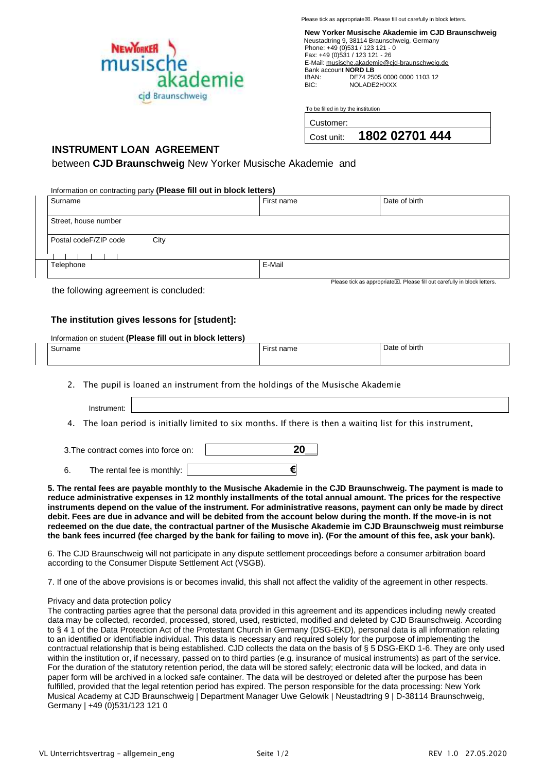Please tick as appropriate. Please fill out carefully in block letters.



**New Yorker Musische Akademie im CJD Braunschweig** Neustadtring 9, 38114 Braunschweig, Germany Phone: +49 (0)531 / 123 121 - 0 Fax: +49 (0)531 / 123 121 - 26 E-Mail[: musische.akademie@cjd-braunschweig.de](about:blank) Bank account **NORD LB**<br>IBAN: DE74 25 IBAN: DE74 2505 0000 0000 1103 12<br>BIC: NOLADE2HXXX NOLADE2HXXX

To be filled in by the institution

|  | Customer: |
|--|-----------|

| cost unit: | 1802 02701 444 |  |
|------------|----------------|--|
|            |                |  |

## **INSTRUMENT LOAN AGREEMENT**

between **CJD Braunschweig** New Yorker Musische Akademie and

Information on contracting party **(Please fill out in block letters)**

| Surname                       | First name | Date of birth                                                                        |
|-------------------------------|------------|--------------------------------------------------------------------------------------|
|                               |            |                                                                                      |
| Street, house number          |            |                                                                                      |
| Postal codeF/ZIP code<br>City |            |                                                                                      |
|                               |            |                                                                                      |
| Telephone                     | E-Mail     |                                                                                      |
|                               |            |                                                                                      |
|                               |            | Please tick as appropriate $\boxtimes$ . Please fill out carefully in block letters. |

the following agreement is concluded:

## **The institution gives lessons for [student]:**

| Information on student (Please fill out in block letters) |  |  |
|-----------------------------------------------------------|--|--|
|-----------------------------------------------------------|--|--|

| $\sim$<br>urname | ----<br>name<br>,,,,, | ' birth |
|------------------|-----------------------|---------|
|                  |                       |         |

2. The pupil is loaned an instrument from the holdings of the Musische Akademie

Instrument:

3. 4. The loan period is initially limited to six months. If there is then a waiting list for this instrument,

| 3. The contract comes into force on: |                            |  | 20 |
|--------------------------------------|----------------------------|--|----|
|                                      | The rental fee is monthly: |  |    |

5. The rental fees are payable monthly to the Musische Akademie in the CJD Braunschweig. The payment is made to reduce administrative expenses in 12 monthly installments of the total annual amount. The prices for the respective **instruments depend on the value of the instrument. For administrative reasons, payment can only be made by direct debit. Fees are due in advance and will be debited from the account below during the month. If the move-in is not redeemed on the due date, the contractual partner of the Musische Akademie im CJD Braunschweig must reimburse the bank fees incurred (fee charged by the bank for failing to move in). (For the amount of this fee, ask your bank).**

6. The CJD Braunschweig will not participate in any dispute settlement proceedings before a consumer arbitration board according to the Consumer Dispute Settlement Act (VSGB).

7. If one of the above provisions is or becomes invalid, this shall not affect the validity of the agreement in other respects.

## Privacy and data protection policy

The contracting parties agree that the personal data provided in this agreement and its appendices including newly created data may be collected, recorded, processed, stored, used, restricted, modified and deleted by CJD Braunschweig. According to § 4 1 of the Data Protection Act of the Protestant Church in Germany (DSG-EKD), personal data is all information relating to an identified or identifiable individual. This data is necessary and required solely for the purpose of implementing the contractual relationship that is being established. CJD collects the data on the basis of § 5 DSG-EKD 1-6. They are only used within the institution or, if necessary, passed on to third parties (e.g. insurance of musical instruments) as part of the service. For the duration of the statutory retention period, the data will be stored safely; electronic data will be locked, and data in paper form will be archived in a locked safe container. The data will be destroyed or deleted after the purpose has been fulfilled, provided that the legal retention period has expired. The person responsible for the data processing: New York Musical Academy at CJD Braunschweig | Department Manager Uwe Gelowik | Neustadtring 9 | D-38114 Braunschweig, Germany | +49 (0)531/123 121 0